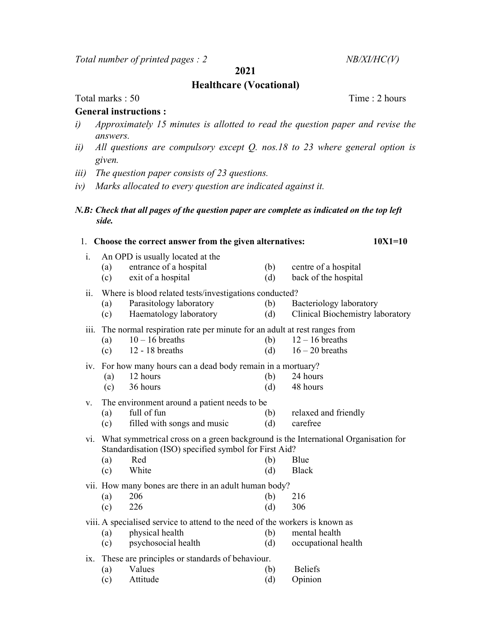Total number of printed pages :  $2$  NB/XI/HC(V)

2021

## Healthcare (Vocational)

Total marks : 50 Time : 2 hours

## General instructions :

- i) Approximately 15 minutes is allotted to read the question paper and revise the answers.
- ii) All questions are compulsory except  $Q$ . nos.18 to 23 where general option is given.
- iii) The question paper consists of 23 questions.
- iv) Marks allocated to every question are indicated against it.
- N.B: Check that all pages of the question paper are complete as indicated on the top left side.

| 1. Choose the correct answer from the given alternatives: |                                                                                                                                                                                                                 |                                                                                                                        |            |                                                             |  |  |  |  |
|-----------------------------------------------------------|-----------------------------------------------------------------------------------------------------------------------------------------------------------------------------------------------------------------|------------------------------------------------------------------------------------------------------------------------|------------|-------------------------------------------------------------|--|--|--|--|
| i.                                                        | (a)<br>(c)                                                                                                                                                                                                      | An OPD is usually located at the<br>entrance of a hospital<br>exit of a hospital                                       | (b)<br>(d) | centre of a hospital<br>back of the hospital                |  |  |  |  |
| ii.                                                       | (a)<br>(c)                                                                                                                                                                                                      | Where is blood related tests/investigations conducted?<br>Parasitology laboratory<br>Haematology laboratory            | (b)<br>(d) | Bacteriology laboratory<br>Clinical Biochemistry laboratory |  |  |  |  |
| <i>iii.</i>                                               | (a)<br>(c)                                                                                                                                                                                                      | The normal respiration rate per minute for an adult at rest ranges from<br>$10 - 16$ breaths<br>12 - 18 breaths        | (b)<br>(d) | $12 - 16$ breaths<br>$16 - 20$ breaths                      |  |  |  |  |
|                                                           | (a)<br>(c)                                                                                                                                                                                                      | iv. For how many hours can a dead body remain in a mortuary?<br>12 hours<br>36 hours                                   | (b)<br>(d) | 24 hours<br>48 hours                                        |  |  |  |  |
| V.                                                        | (a)<br>(c)                                                                                                                                                                                                      | The environment around a patient needs to be.<br>full of fun<br>filled with songs and music                            | (b)<br>(d) | relaxed and friendly<br>carefree                            |  |  |  |  |
| $\overline{vi}$ .                                         | What symmetrical cross on a green background is the International Organisation for<br>Standardisation (ISO) specified symbol for First Aid?<br>Red<br>Blue<br>(b)<br>(a)<br>White<br>(d)<br><b>Black</b><br>(c) |                                                                                                                        |            |                                                             |  |  |  |  |
|                                                           | (a)<br>(c)                                                                                                                                                                                                      | vii. How many bones are there in an adult human body?<br>206<br>226                                                    | (b)<br>(d) | 216<br>306                                                  |  |  |  |  |
|                                                           | (a)<br>(c)                                                                                                                                                                                                      | viii. A specialised service to attend to the need of the workers is known as<br>physical health<br>psychosocial health | (b)<br>(d) | mental health<br>occupational health                        |  |  |  |  |
| $\overline{1}X$ .                                         | (a)<br>(c)                                                                                                                                                                                                      | These are principles or standards of behaviour.<br>Values<br>Attitude                                                  | (b)<br>(d) | <b>Beliefs</b><br>Opinion                                   |  |  |  |  |